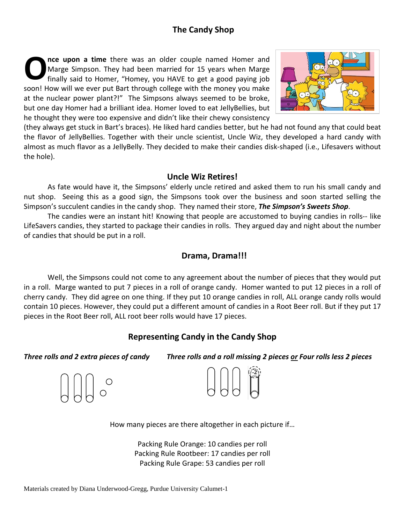### **The Candy Shop**

**nce upon a time** there was an older couple named Homer and Marge Simpson. They had been married for 15 years when Marge finally said to Homer, "Homey, you HAVE to get a good paying job soon! How will we ever put Bart through college with the money you make at the nuclear power plant?!" The Simpsons always seemed to be broke, but one day Homer had a brilliant idea. Homer loved to eat JellyBellies, but he thought they were too expensive and didn't like their chewy consistency **O**



(they always get stuck in Bart's braces). He liked hard candies better, but he had not found any that could beat the flavor of JellyBellies. Together with their uncle scientist, Uncle Wiz, they developed a hard candy with almost as much flavor as a JellyBelly. They decided to make their candies disk-shaped (i.e., Lifesavers without the hole).

#### **Uncle Wiz Retires!**

As fate would have it, the Simpsons' elderly uncle retired and asked them to run his small candy and nut shop. Seeing this as a good sign, the Simpsons took over the business and soon started selling the Simpson's succulent candies in the candy shop. They named their store, *The Simpson's Sweets Shop*.

The candies were an instant hit! Knowing that people are accustomed to buying candies in rolls-- like LifeSavers candies, they started to package their candies in rolls. They argued day and night about the number of candies that should be put in a roll.

#### **Drama, Drama!!!**

Well, the Simpsons could not come to any agreement about the number of pieces that they would put in a roll. Marge wanted to put 7 pieces in a roll of orange candy. Homer wanted to put 12 pieces in a roll of cherry candy. They did agree on one thing. If they put 10 orange candies in roll, ALL orange candy rolls would contain 10 pieces. However, they could put a different amount of candies in a Root Beer roll. But if they put 17 pieces in the Root Beer roll, ALL root beer rolls would have 17 pieces.

#### **Representing Candy in the Candy Shop**

*Three rolls and 2 extra pieces of candy Three rolls and a roll missing 2 pieces or Four rolls less 2 pieces*





How many pieces are there altogether in each picture if…

Packing Rule Orange: 10 candies per roll Packing Rule Rootbeer: 17 candies per roll Packing Rule Grape: 53 candies per roll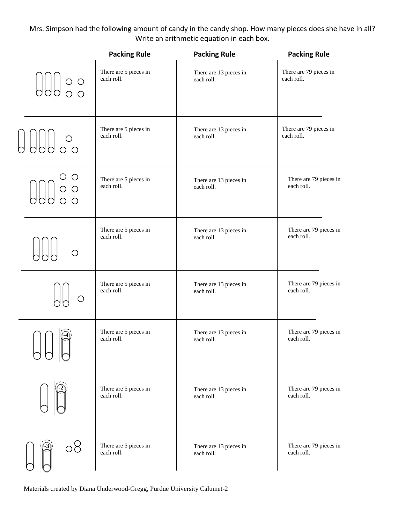#### Mrs. Simpson had the following amount of candy in the candy shop. How many pieces does she have in all? Write an arithmetic equation in each box.

|                                                                                             | <b>Packing Rule</b>                 | <b>Packing Rule</b>                  | <b>Packing Rule</b>                  |
|---------------------------------------------------------------------------------------------|-------------------------------------|--------------------------------------|--------------------------------------|
| $\begin{array}{c} \bigcup\{ \bigcup\} & \circ & \circ \\ \circ & \circ & \circ \end{array}$ | There are 5 pieces in               | There are 13 pieces in               | There are 79 pieces in               |
|                                                                                             | each roll.                          | each roll.                           | each roll.                           |
| $\circ$                                                                                     | There are 5 pieces in               | There are 13 pieces in               | There are 79 pieces in               |
|                                                                                             | each roll.                          | each roll.                           | each roll.                           |
| O<br>$\circ$<br>$\bigcirc$<br>$\bigcirc$                                                    | There are 5 pieces in<br>each roll. | There are 13 pieces in<br>each roll. | There are 79 pieces in<br>each roll. |
|                                                                                             | There are 5 pieces in               | There are 13 pieces in               | There are 79 pieces in               |
|                                                                                             | each roll.                          | each roll.                           | each roll.                           |
|                                                                                             | There are 5 pieces in               | There are 13 pieces in               | There are 79 pieces in               |
|                                                                                             | each roll.                          | each roll.                           | each roll.                           |
|                                                                                             | There are 5 pieces in               | There are 13 pieces in               | There are 79 pieces in               |
|                                                                                             | each roll.                          | each roll.                           | each roll.                           |
|                                                                                             | There are 5 pieces in               | There are 13 pieces in               | There are 79 pieces in               |
|                                                                                             | each roll.                          | each roll.                           | each roll.                           |
|                                                                                             | There are 5 pieces in               | There are 13 pieces in               | There are 79 pieces in               |
|                                                                                             | each roll.                          | each roll.                           | each roll.                           |

Materials created by Diana Underwood-Gregg, Purdue University Calumet-2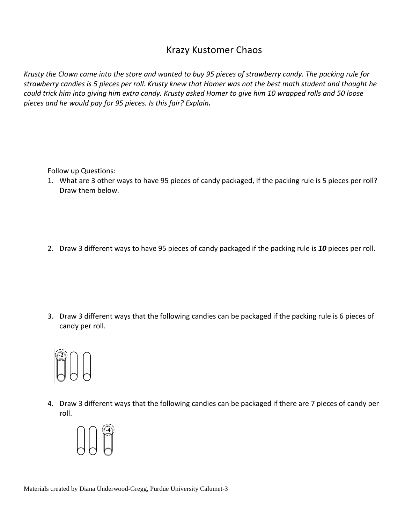### Krazy Kustomer Chaos

*Krusty the Clown came into the store and wanted to buy 95 pieces of strawberry candy. The packing rule for strawberry candies is 5 pieces per roll. Krusty knew that Homer was not the best math student and thought he could trick him into giving him extra candy. Krusty asked Homer to give him 10 wrapped rolls and 50 loose pieces and he would pay for 95 pieces. Is this fair? Explain.*

Follow up Questions:

- 1. What are 3 other ways to have 95 pieces of candy packaged, if the packing rule is 5 pieces per roll? Draw them below.
- 2. Draw 3 different ways to have 95 pieces of candy packaged if the packing rule is *10* pieces per roll.

3. Draw 3 different ways that the following candies can be packaged if the packing rule is 6 pieces of candy per roll.



4. Draw 3 different ways that the following candies can be packaged if there are 7 pieces of candy per roll.

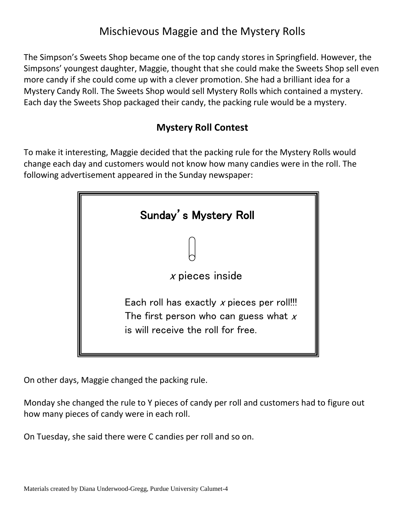## Mischievous Maggie and the Mystery Rolls

The Simpson's Sweets Shop became one of the top candy stores in Springfield. However, the Simpsons' youngest daughter, Maggie, thought that she could make the Sweets Shop sell even more candy if she could come up with a clever promotion. She had a brilliant idea for a Mystery Candy Roll. The Sweets Shop would sell Mystery Rolls which contained a mystery. Each day the Sweets Shop packaged their candy, the packing rule would be a mystery.

### **Mystery Roll Contest**

To make it interesting, Maggie decided that the packing rule for the Mystery Rolls would change each day and customers would not know how many candies were in the roll. The following advertisement appeared in the Sunday newspaper:



On other days, Maggie changed the packing rule.

Monday she changed the rule to Y pieces of candy per roll and customers had to figure out how many pieces of candy were in each roll.

On Tuesday, she said there were C candies per roll and so on.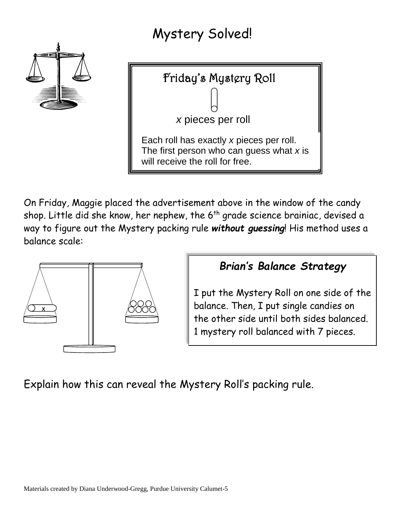# Mystery Solved!





On Friday, Maggie placed the advertisement above in the window of the candy shop. Little did she know, her nephew, the 6<sup>th</sup> grade science brainiac, devised a way to figure out the Mystery packing rule *without guessing*! His method uses a balance scale:



![](_page_4_Figure_5.jpeg)

I put the Mystery Roll on one side of the balance. Then, I put single candies on the other side until both sides balanced. 1 mystery roll balanced with 7 pieces.

Explain how this can reveal the Mystery Roll's packing rule.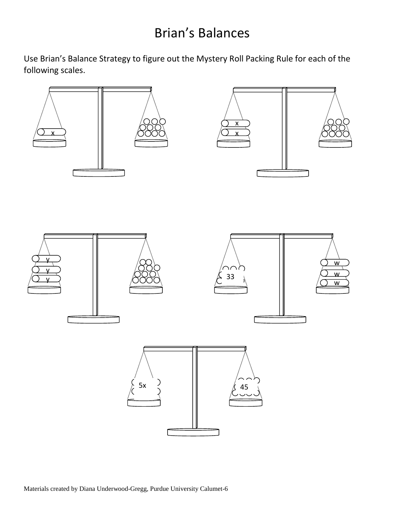# Brian's Balances

![](_page_5_Figure_2.jpeg)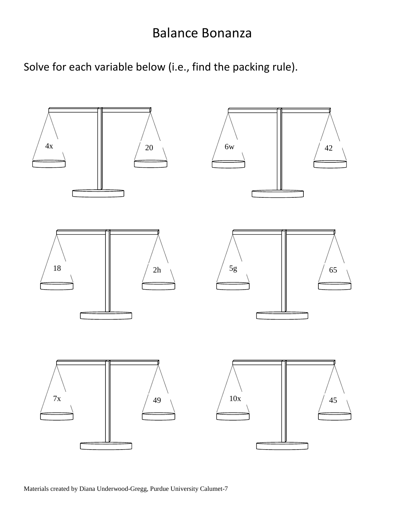## Balance Bonanza

Solve for each variable below (i.e., find the packing rule).

![](_page_6_Figure_2.jpeg)

Materials created by Diana Underwood-Gregg, Purdue University Calumet-7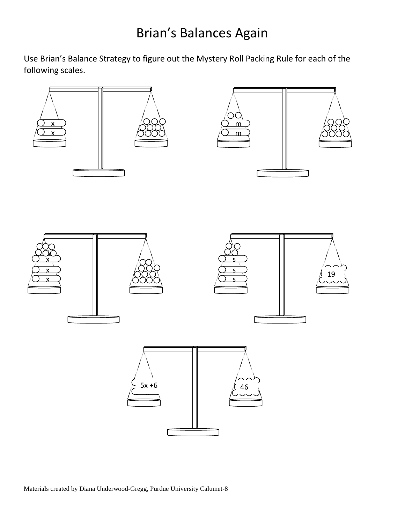![](_page_7_Figure_2.jpeg)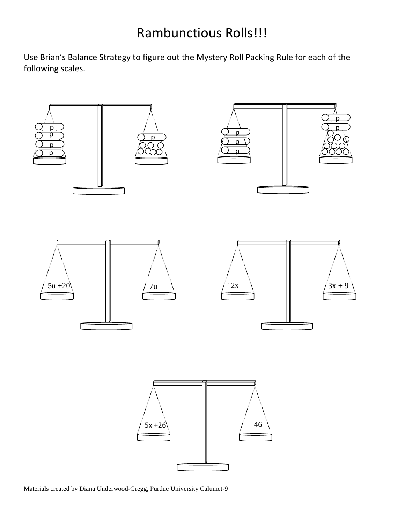# Rambunctious Rolls!!!

![](_page_8_Figure_2.jpeg)

Materials created by Diana Underwood-Gregg, Purdue University Calumet-9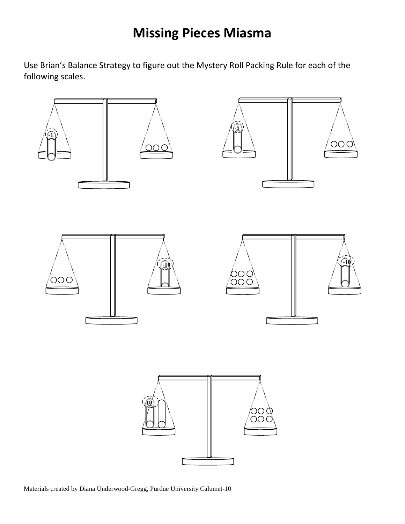## **Missing Pieces Miasma**

![](_page_9_Figure_2.jpeg)

Materials created by Diana Underwood-Gregg, Purdue University Calumet-10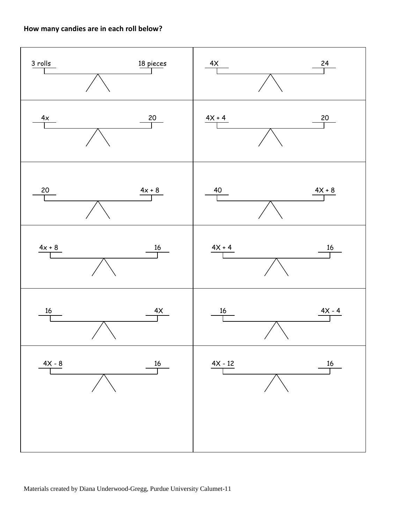#### **How many candies are in each roll below?**

![](_page_10_Figure_1.jpeg)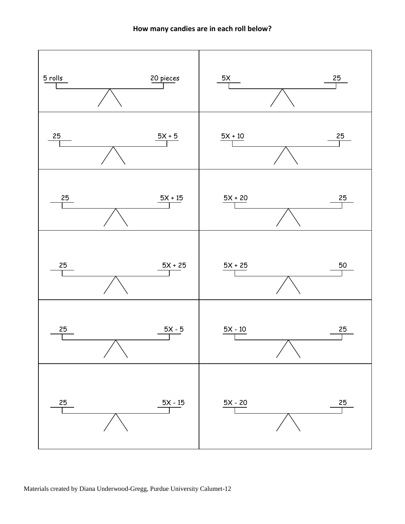![](_page_11_Figure_1.jpeg)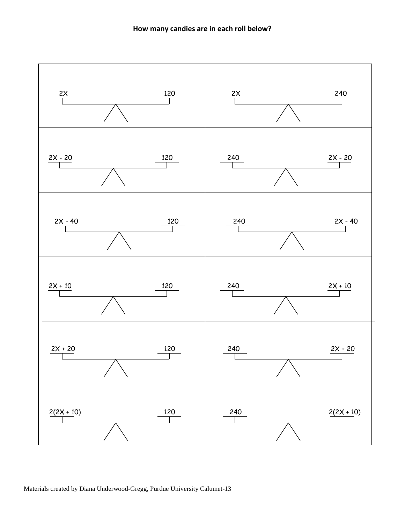![](_page_12_Figure_1.jpeg)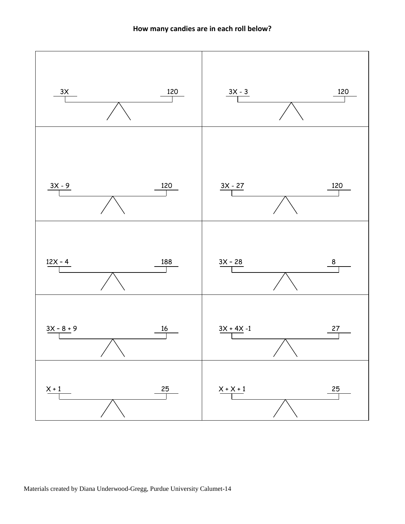![](_page_13_Figure_1.jpeg)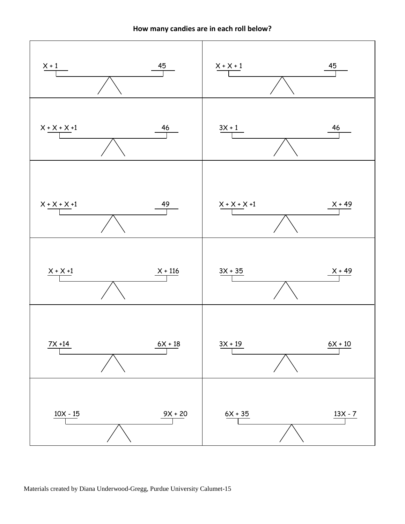![](_page_14_Figure_1.jpeg)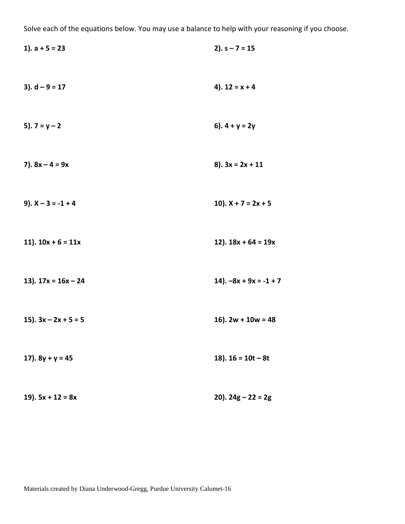Solve each of the equations below. You may use a balance to help with your reasoning if you choose.

| 1). $a + 5 = 23$       | $2)$ . s – 7 = 15        |
|------------------------|--------------------------|
| $3)$ . d – 9 = 17      | 4). $12 = x + 4$         |
| 5). $7 = y - 2$        | 6). $4 + y = 2y$         |
| 7). $8x - 4 = 9x$      | $8$ ). $3x = 2x + 11$    |
| 9). $X - 3 = -1 + 4$   | 10). $X + 7 = 2x + 5$    |
| 11). $10x + 6 = 11x$   | 12). $18x + 64 = 19x$    |
| 13). $17x = 16x - 24$  | 14). $-8x + 9x = -1 + 7$ |
| 15). $3x - 2x + 5 = 5$ | 16). $2w + 10w = 48$     |
| 17). $8y + y = 45$     | 18). $16 = 10t - 8t$     |
| 19). $5x + 12 = 8x$    | 20). $24g - 22 = 2g$     |

Materials created by Diana Underwood-Gregg, Purdue University Calumet-16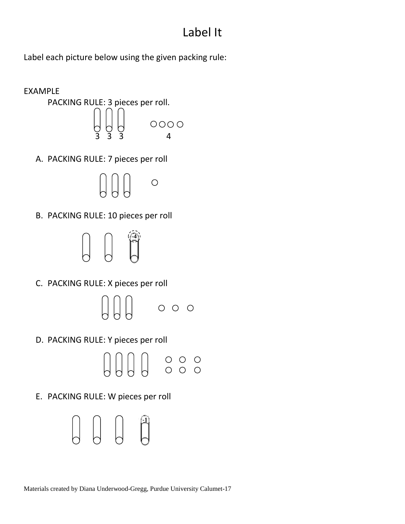## Label It

Label each picture below using the given packing rule:

![](_page_16_Figure_2.jpeg)

![](_page_16_Figure_3.jpeg)

A. PACKING RULE: 7 pieces per roll

![](_page_16_Picture_5.jpeg)

B. PACKING RULE: 10 pieces per roll

![](_page_16_Picture_7.jpeg)

C. PACKING RULE: X pieces per roll

![](_page_16_Picture_9.jpeg)

D. PACKING RULE: Y pieces per roll

![](_page_16_Picture_11.jpeg)

E. PACKING RULE: W pieces per roll

![](_page_16_Picture_13.jpeg)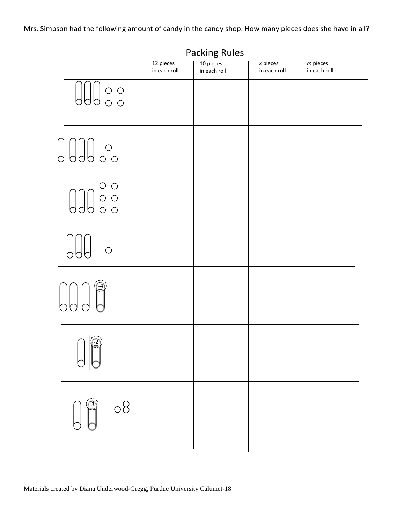Mrs. Simpson had the following amount of candy in the candy shop. How many pieces does she have in all?

|                                                                                                                                                                                                                                                                                                                                                     |                            | <b>Packing Rules</b>       |                            |                             |
|-----------------------------------------------------------------------------------------------------------------------------------------------------------------------------------------------------------------------------------------------------------------------------------------------------------------------------------------------------|----------------------------|----------------------------|----------------------------|-----------------------------|
|                                                                                                                                                                                                                                                                                                                                                     | 12 pieces<br>in each roll. | 10 pieces<br>in each roll. | $x$ pieces<br>in each roll | $m$ pieces<br>in each roll. |
|                                                                                                                                                                                                                                                                                                                                                     |                            |                            |                            |                             |
| $\bigcup_{\circ} \bigcup_{\circ} \bigcup_{\circ}$                                                                                                                                                                                                                                                                                                   |                            |                            |                            |                             |
| $\begin{picture}(120,15) \put(0,0){\line(1,0){15}} \put(15,0){\line(1,0){15}} \put(15,0){\line(1,0){15}} \put(15,0){\line(1,0){15}} \put(15,0){\line(1,0){15}} \put(15,0){\line(1,0){15}} \put(15,0){\line(1,0){15}} \put(15,0){\line(1,0){15}} \put(15,0){\line(1,0){15}} \put(15,0){\line(1,0){15}} \put(15,0){\line(1,0){15}} \put(15,0){\line($ |                            |                            |                            |                             |
| $\bigcirc$                                                                                                                                                                                                                                                                                                                                          |                            |                            |                            |                             |
| $\begin{picture}(20,5) \put(0,0){\line(1,0){155}} \put(15,0){\line(1,0){155}} \put(15,0){\line(1,0){155}} \put(15,0){\line(1,0){155}} \put(15,0){\line(1,0){155}} \put(15,0){\line(1,0){155}} \put(15,0){\line(1,0){155}} \put(15,0){\line(1,0){155}} \put(15,0){\line(1,0){155}} \put(15,0){\line(1,0){155}} \put(15,0){\line(1,0){155}} \put$     |                            |                            |                            |                             |
| $\sqrt{2}$                                                                                                                                                                                                                                                                                                                                          |                            |                            |                            |                             |
| $\begin{matrix} \begin{matrix} 1 \\ 0 \end{matrix} \end{matrix}$<br>$\circ 8$                                                                                                                                                                                                                                                                       |                            |                            |                            |                             |
|                                                                                                                                                                                                                                                                                                                                                     |                            |                            |                            |                             |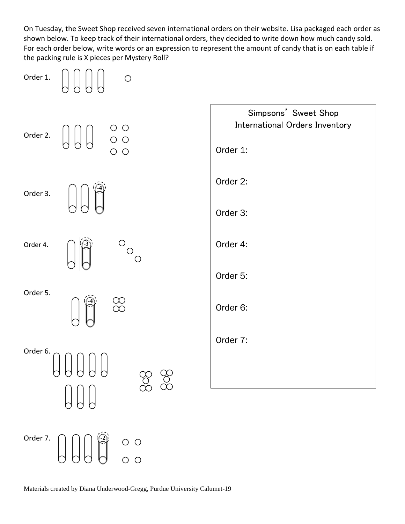On Tuesday, the Sweet Shop received seven international orders on their website. Lisa packaged each order as shown below. To keep track of their international orders, they decided to write down how much candy sold. For each order below, write words or an expression to represent the amount of candy that is on each table if the packing rule is X pieces per Mystery Roll?

![](_page_18_Figure_1.jpeg)

Materials created by Diana Underwood-Gregg, Purdue University Calumet-19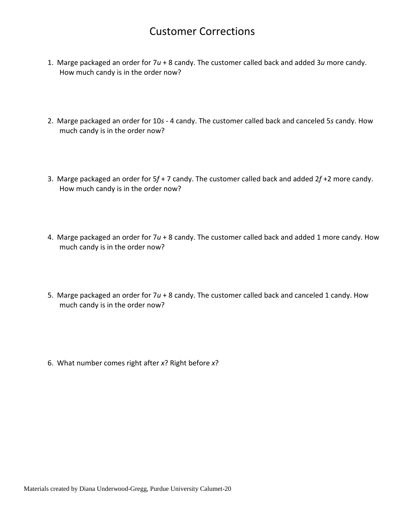### Customer Corrections

- 1. Marge packaged an order for 7*u* + 8 candy. The customer called back and added 3*u* more candy. How much candy is in the order now?
- 2. Marge packaged an order for 10*s* 4 candy. The customer called back and canceled 5*s* candy. How much candy is in the order now?
- 3. Marge packaged an order for 5*f* + 7 candy. The customer called back and added 2*f* +2 more candy. How much candy is in the order now?
- 4. Marge packaged an order for 7*u* + 8 candy. The customer called back and added 1 more candy. How much candy is in the order now?
- 5. Marge packaged an order for 7*u* + 8 candy. The customer called back and canceled 1 candy. How much candy is in the order now?
- 6. What number comes right after *x*? Right before *x*?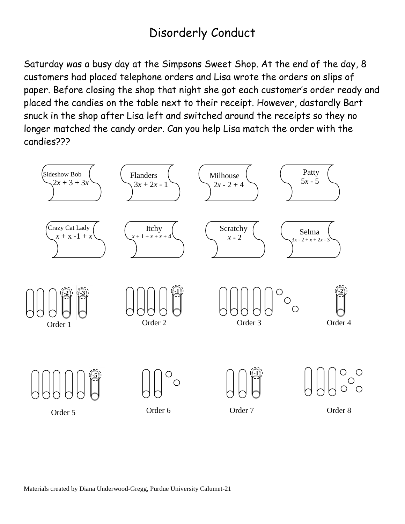## Disorderly Conduct

Saturday was a busy day at the Simpsons Sweet Shop. At the end of the day, 8 customers had placed telephone orders and Lisa wrote the orders on slips of paper. Before closing the shop that night she got each customer's order ready and placed the candies on the table next to their receipt. However, dastardly Bart snuck in the shop after Lisa left and switched around the receipts so they no longer matched the candy order. Can you help Lisa match the order with the candies???

![](_page_20_Figure_2.jpeg)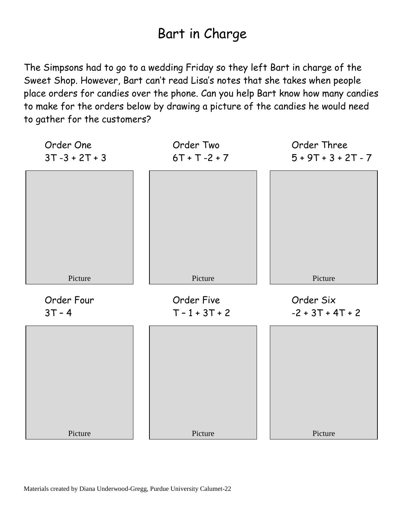# Bart in Charge

The Simpsons had to go to a wedding Friday so they left Bart in charge of the Sweet Shop. However, Bart can't read Lisa's notes that she takes when people place orders for candies over the phone. Can you help Bart know how many candies to make for the orders below by drawing a picture of the candies he would need to gather for the customers?

![](_page_21_Figure_2.jpeg)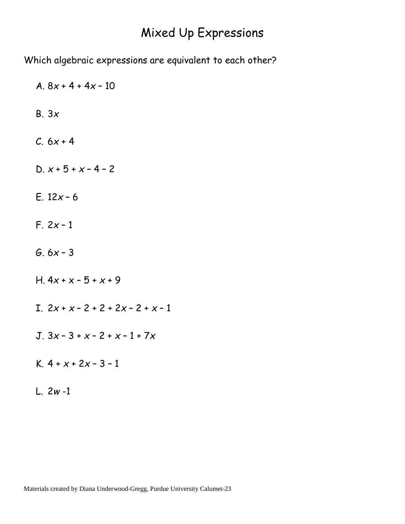## Mixed Up Expressions

Which algebraic expressions are equivalent to each other?

A. 8*x* + 4 + 4*x* – 10 B. 3*x*  $C. 6x + 4$ D.  $x + 5 + x - 4 - 2$ E. 12*x* – 6 F. 2*x* – 1 G. 6*x* – 3 H. 4*x* + x – 5 + *x* + 9 I.  $2x + x - 2 + 2 + 2x - 2 + x - 1$ J. 3*x* – 3 + *x* – 2 + *x* – 1 + 7*x* K. 4 + *x* + 2*x* – 3 – 1 L. 2*w* -1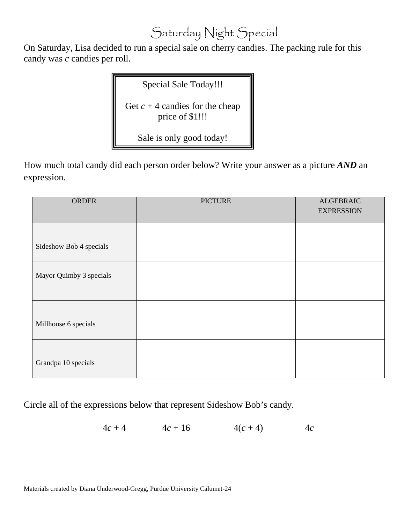# Saturday Night Special

On Saturday, Lisa decided to run a special sale on cherry candies. The packing rule for this candy was *c* candies per roll.

Special Sale Today!!!

Get  $c + 4$  candies for the cheap price of \$1!!!

Sale is only good today!

How much total candy did each person order below? Write your answer as a picture *AND* an expression.

| ORDER                   | <b>PICTURE</b> | <b>ALGEBRAIC</b><br><b>EXPRESSION</b> |
|-------------------------|----------------|---------------------------------------|
| Sideshow Bob 4 specials |                |                                       |
| Mayor Quimby 3 specials |                |                                       |
| Millhouse 6 specials    |                |                                       |
| Grandpa 10 specials     |                |                                       |

Circle all of the expressions below that represent Sideshow Bob's candy.

 $4c + 4$   $4c + 16$   $4(c + 4)$   $4c$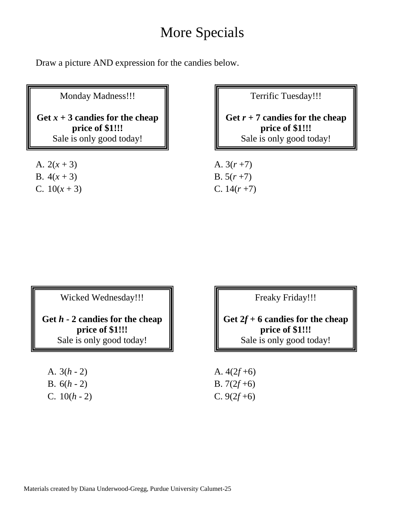# More Specials

Draw a picture AND expression for the candies below.

Monday Madness!!!

Get  $x + 3$  candies for the cheap **price of \$1!!!** Sale is only good today!

Terrific Tuesday!!!

**Get** *r* **+ 7 candies for the cheap price of \$1!!!** Sale is only good today!

A.  $2(x+3)$  A.  $3(r+7)$ B.  $4(x+3)$  B.  $5(r+7)$ C.  $10(x+3)$  C.  $14(r+7)$ 

Wicked Wednesday!!!

**Get** *h* **- 2 candies for the cheap price of \$1!!!** Sale is only good today!

A.  $3(h - 2)$  A.  $4(2f +6)$ B.  $6(h - 2)$  B.  $7(2f +6)$ C.  $10(h - 2)$  C.  $9(2f +6)$ 

Freaky Friday!!!

**Get 2***f* **+ 6 candies for the cheap price of \$1!!!** Sale is only good today!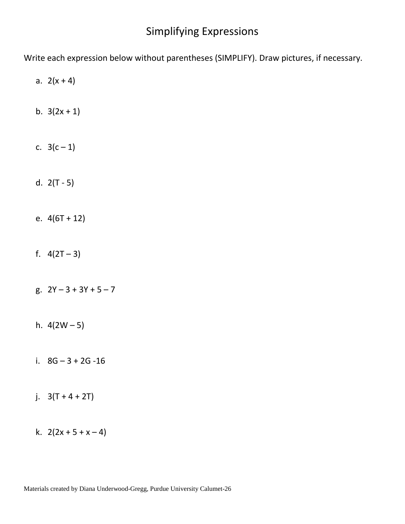### Simplifying Expressions

Write each expression below without parentheses (SIMPLIFY). Draw pictures, if necessary.

- a.  $2(x + 4)$
- b.  $3(2x + 1)$
- c.  $3(c-1)$
- d.  $2(T 5)$
- e.  $4(6T + 12)$
- f.  $4(2T-3)$
- g.  $2Y 3 + 3Y + 5 7$
- h.  $4(2W 5)$
- i. 8G 3 + 2G -16
- j.  $3(T + 4 + 2T)$
- k.  $2(2x + 5 + x 4)$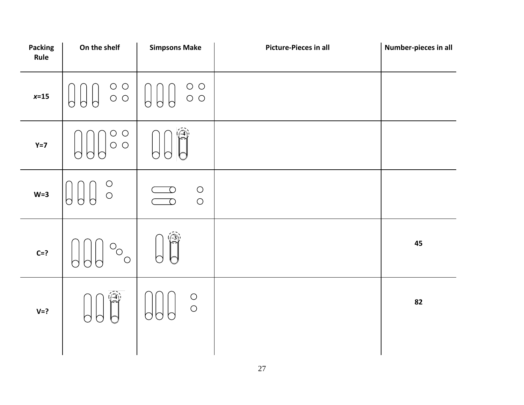| Packing<br>Rule | On the shelf                                            | <b>Simpsons Make</b>                                                                          | <b>Picture-Pieces in all</b> | Number-pieces in all |
|-----------------|---------------------------------------------------------|-----------------------------------------------------------------------------------------------|------------------------------|----------------------|
| $x=15$          | $\circ$ $\circ$<br>$\circ \circ$<br>$\bigcup$<br>b<br>h | $\circ$ $\circ$<br>$\bigcup$<br>$\bigcup$<br>$\circ$ $\circ$                                  |                              |                      |
| $Y=7$           | $\bigcirc$<br>$\bigcirc$<br>$\bigcirc$<br>$\bigcirc$    |                                                                                               |                              |                      |
| $W=3$           | $\begin{array}{c}\n0 \\ 0\n\end{array}$<br>h<br>n       | $\bigcirc$<br>$\left( \begin{array}{c} 1 \end{array} \right)$<br>$\bigcirc$<br>$\overline{O}$ |                              |                      |
| $C=?$           | $\circ_{\circ}$                                         |                                                                                               |                              | 45                   |
| $V = ?$         | -4                                                      | $\begin{array}{c}\n0 \\ 0\n\end{array}$                                                       |                              | 82                   |
|                 |                                                         |                                                                                               |                              |                      |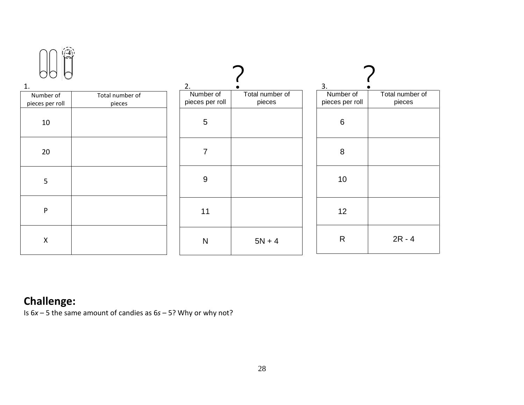| 1.                 |                 | 2.              |                 | 3.              |                 |
|--------------------|-----------------|-----------------|-----------------|-----------------|-----------------|
| Number of          | Total number of | Number of       | Total number of | Number of       | Total number of |
| pieces per roll    | pieces          | pieces per roll | pieces          | pieces per roll | pieces          |
| $10\,$             |                 | $\overline{5}$  |                 | $\,6\,$         |                 |
| 20                 |                 | $\overline{7}$  |                 | $\, 8$          |                 |
| $5\phantom{.}$     |                 | $\overline{9}$  |                 | 10              |                 |
| $\mathsf{P}$       |                 | 11              |                 | 12              |                 |
| $\pmb{\mathsf{X}}$ |                 | $\mathsf{N}$    | $5N + 4$        | ${\sf R}$       | $2R - 4$        |

## **Challenge:**

Is 6*x* – 5 the same amount of candies as 6*s* – 5? Why or why not?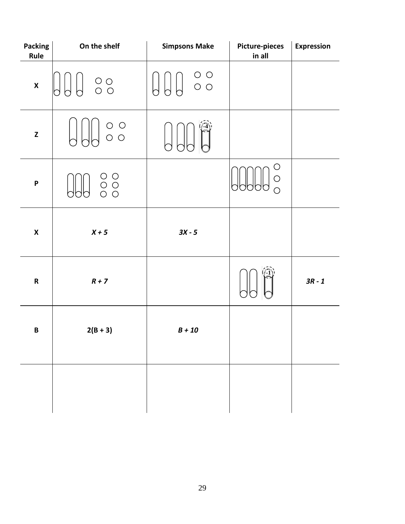| <b>Packing</b><br>Rule                                                                                            | On the shelf                                                    | <b>Simpsons Make</b>                                   | <b>Picture-pieces</b><br>in all            | <b>Expression</b> |
|-------------------------------------------------------------------------------------------------------------------|-----------------------------------------------------------------|--------------------------------------------------------|--------------------------------------------|-------------------|
| $\pmb{\mathsf{X}}$                                                                                                | $\begin{array}{c} \circ \\ \circ \\ \circ \end{array}$          | $\begin{array}{c} \circ \\ \circ \\ \circ \end{array}$ |                                            |                   |
| $\mathsf{Z}% _{M_{1},M_{2}}^{\alpha,\beta}(\mathbb{R})\subset\mathsf{Z}_{M_{1},M_{2}}^{\alpha,\beta}(\mathbb{R})$ | $\begin{array}{c} \circ \\ \circ \\ \circ \end{array}$          |                                                        |                                            |                   |
| $\boldsymbol{\mathsf{P}}$                                                                                         | $\begin{array}{c} \circ \\ \circ \\ \circ \\ \circ \end{array}$ |                                                        | $\bigcirc$<br>$\bigcirc$<br>$\overline{O}$ |                   |
| $\pmb{\mathsf{X}}$                                                                                                | $X + 5$                                                         | $3X - 5$                                               |                                            |                   |
| ${\sf R}$                                                                                                         | $R + 7$                                                         |                                                        |                                            | $3R - 1$          |
| $\pmb B$                                                                                                          | $2(B + 3)$                                                      | $B + 10$                                               |                                            |                   |
|                                                                                                                   |                                                                 |                                                        |                                            |                   |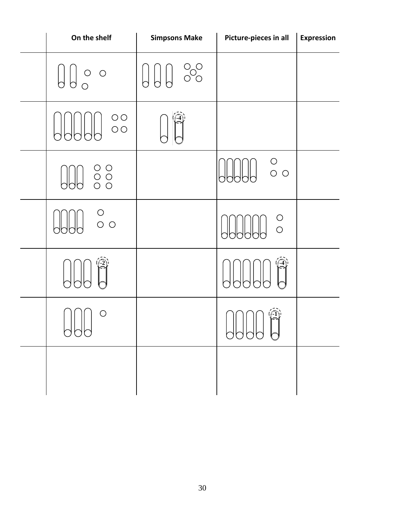| On the shelf                                                                     | <b>Simpsons Make</b>                                                                                                                                                                                                                                                                                                                         | Picture-pieces in all                   | <b>Expression</b> |
|----------------------------------------------------------------------------------|----------------------------------------------------------------------------------------------------------------------------------------------------------------------------------------------------------------------------------------------------------------------------------------------------------------------------------------------|-----------------------------------------|-------------------|
| $\left\{\begin{matrix} 1 & 0 & 0 \\ 0 & 0 & 0 \\ 0 & 0 & 0 \end{matrix}\right\}$ | $\begin{picture}(130,15) \put(0,0){\line(1,0){155}} \put(15,0){\line(1,0){155}} \put(15,0){\line(1,0){155}} \put(15,0){\line(1,0){155}} \put(15,0){\line(1,0){155}} \put(15,0){\line(1,0){155}} \put(15,0){\line(1,0){155}} \put(15,0){\line(1,0){155}} \put(15,0){\line(1,0){155}} \put(15,0){\line(1,0){155}} \put(15,0){\line(1,0){155}}$ |                                         |                   |
| $\begin{array}{c} \circ \circ \\ \circ \circ \end{array}$                        |                                                                                                                                                                                                                                                                                                                                              |                                         |                   |
| $\frac{1}{2}$                                                                    |                                                                                                                                                                                                                                                                                                                                              | $\begin{array}{c}\n0 \\ 0\n\end{array}$ |                   |
| $\begin{matrix} 0 \\ 0 \\ 0 \end{matrix}$                                        |                                                                                                                                                                                                                                                                                                                                              | $\circ$                                 |                   |
|                                                                                  |                                                                                                                                                                                                                                                                                                                                              |                                         |                   |
| ( )<br>APP                                                                       |                                                                                                                                                                                                                                                                                                                                              | AAAA A                                  |                   |
|                                                                                  |                                                                                                                                                                                                                                                                                                                                              |                                         |                   |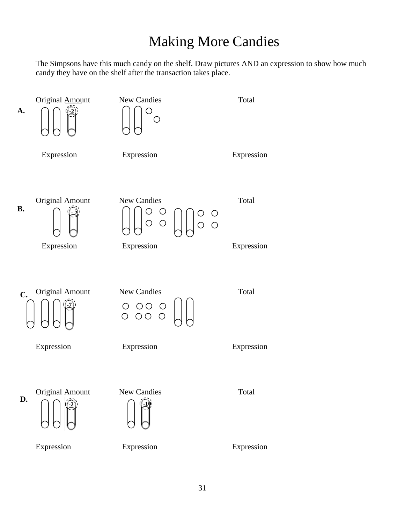# Making More Candies

The Simpsons have this much candy on the shelf. Draw pictures AND an expression to show how much candy they have on the shelf after the transaction takes place.

![](_page_30_Figure_2.jpeg)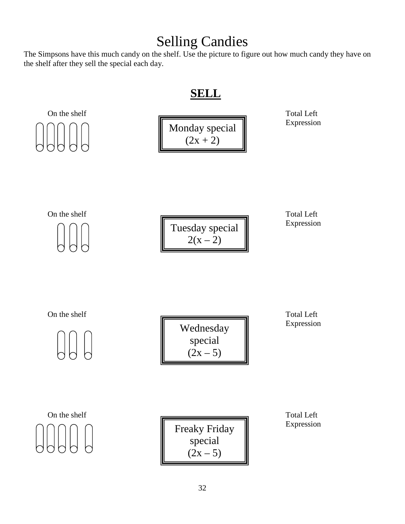# Selling Candies

The Simpsons have this much candy on the shelf. Use the picture to figure out how much candy they have on the shelf after they sell the special each day.

### **SELL**

![](_page_31_Figure_3.jpeg)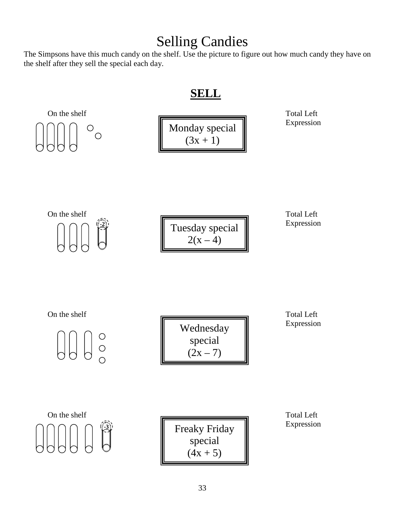# Selling Candies

The Simpsons have this much candy on the shelf. Use the picture to figure out how much candy they have on the shelf after they sell the special each day.

### **SELL**

![](_page_32_Figure_3.jpeg)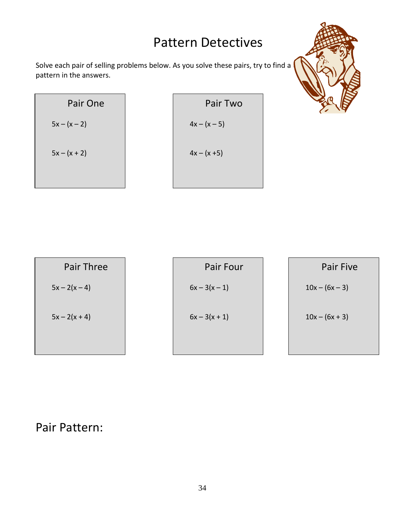# Pattern Detectives

Solve each pair of selling problems below. As you solve these pairs, try to find a pattern in the answers.

| Pair One       | Pair Two       |
|----------------|----------------|
| $5x - (x - 2)$ | $4x - (x - 5)$ |
| $5x - (x + 2)$ | $4x - (x + 5)$ |

![](_page_33_Picture_3.jpeg)

| <b>Pair Three</b> | Pair Four       | Pair Five        |
|-------------------|-----------------|------------------|
| $5x - 2(x - 4)$   | $6x - 3(x - 1)$ | $10x - (6x - 3)$ |
| $5x - 2(x + 4)$   | $6x - 3(x + 1)$ | $10x - (6x + 3)$ |

## Pair Pattern: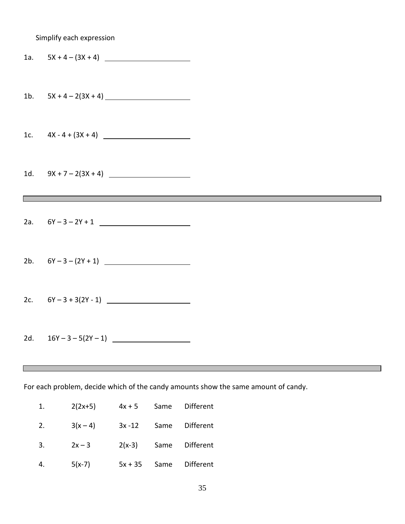|                                                                                                        | Simplify each expression                                                                                                                      |  |  |
|--------------------------------------------------------------------------------------------------------|-----------------------------------------------------------------------------------------------------------------------------------------------|--|--|
|                                                                                                        | 1a. $5X + 4 - (3X + 4)$                                                                                                                       |  |  |
|                                                                                                        |                                                                                                                                               |  |  |
|                                                                                                        | 1c. $4X - 4 + (3X + 4)$                                                                                                                       |  |  |
| 1d.                                                                                                    | $9X + 7 - 2(3X + 4)$<br><u> 1989 - Andrea Barbara, Amerikaansk politik en beskriuwer om de foarmen fan de foarmen fan de foarmen fan de f</u> |  |  |
|                                                                                                        |                                                                                                                                               |  |  |
|                                                                                                        | 2a. $6Y - 3 - 2Y + 1$                                                                                                                         |  |  |
|                                                                                                        | 2b. $6Y-3-(2Y+1)$                                                                                                                             |  |  |
|                                                                                                        |                                                                                                                                               |  |  |
| 2d.                                                                                                    | $16Y - 3 - 5(2Y - 1)$                                                                                                                         |  |  |
|                                                                                                        |                                                                                                                                               |  |  |
| For each problem, decide which of the candy amounts show the same amount of candy.<br>$E^{\text{rel}}$ |                                                                                                                                               |  |  |

|    | $2(2x+5)$                       |  | $4x + 5$ Same Different  |
|----|---------------------------------|--|--------------------------|
| 2. | $3(x-4)$ $3x-12$ Same Different |  |                          |
| 3. | $2x - 3$                        |  | $2(x-3)$ Same Different  |
| 4. | $5(x-7)$                        |  | $5x + 35$ Same Different |

П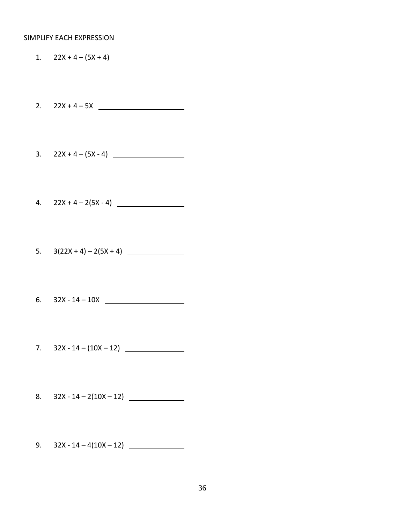#### SIMPLIFY EACH EXPRESSION

1.  $22X + 4 - (5X + 4)$ 

2.  $22X + 4 - 5X$ 

3.  $22X + 4 - (5X - 4)$ 

4. 22X + 4 – 2(5X - 4)

5.  $3(22X + 4) - 2(5X + 4)$ 

6. 32X - 14 – 10X

7.  $32X - 14 - (10X - 12)$ 

8.  $32X - 14 - 2(10X - 12)$ 

9.  $32X - 14 - 4(10X - 12)$